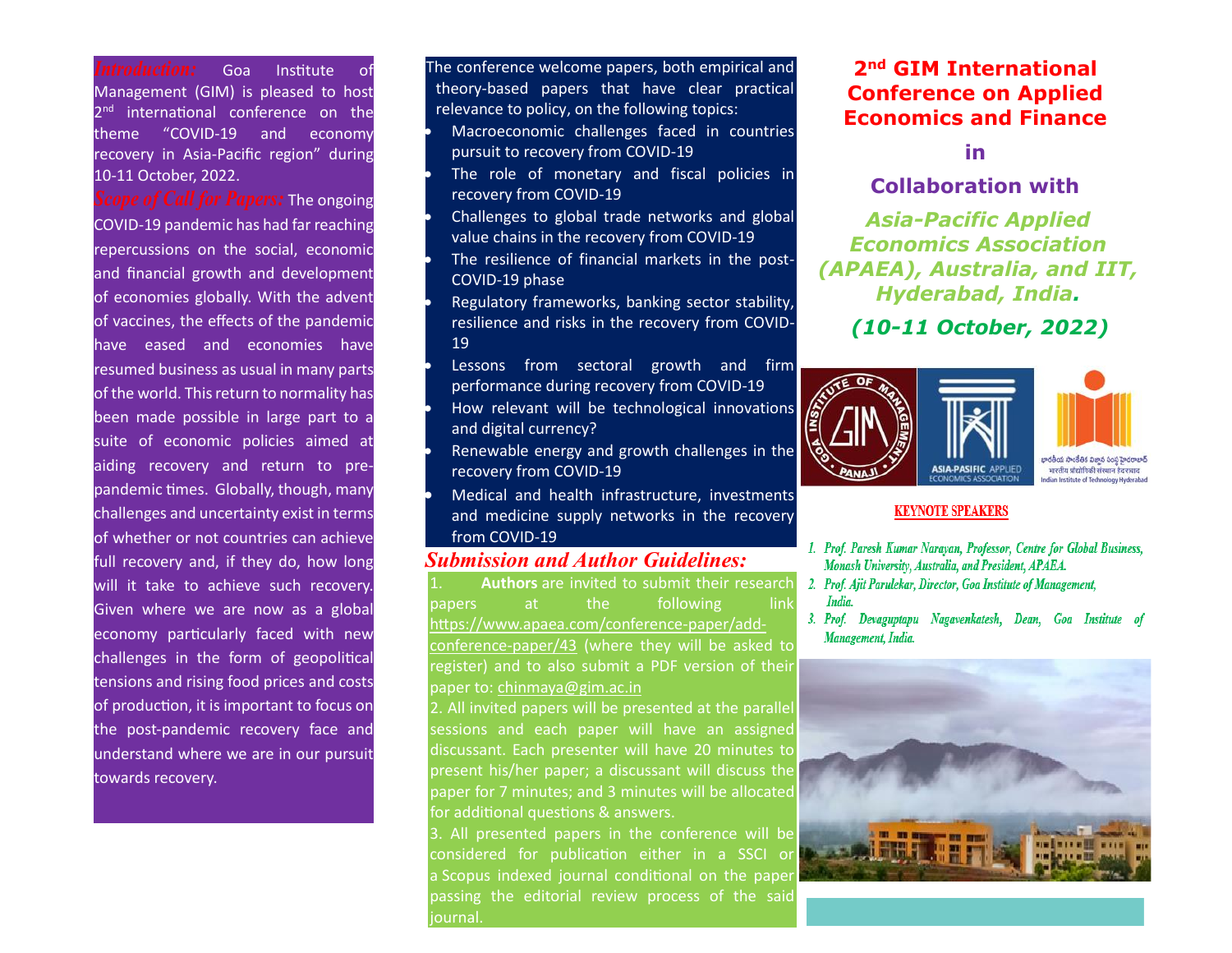*Introduction:* Goa Institute of Management (GIM) is pleased to host 2<sup>nd</sup> international conference on the theme "COVID-19 and economy recovery in Asia-Pacific region" during 10-11 October, 2022.

*Cope of Call for Papers:* The ongoing COVID-19 pandemic has had far reaching repercussions on the social, economic and financial growth and development of economies globally. With the advent of vaccines, the effects of the pandemic have eased and economies have resumed business as usual in many parts of the world. This return to normality has been made possible in large part to a suite of economic policies aimed at aiding recovery and return to prepandemic times. Globally, though, many challenges and uncertainty exist in terms of whether or not countries can achieve full recovery and, if they do, how long will it take to achieve such recovery. Given where we are now as a global economy particularly faced with new challenges in the form of geopolitical tensions and rising food prices and costs of production, it is important to focus on the post-pandemic recovery face and understand where we are in our pursuit towards recovery.

The conference welcome papers, both empirical and theory-based papers that have clear practical relevance to policy, on the following topics: • Macroeconomic challenges faced in countries pursuit to recovery from COVID-19 The role of monetary and fiscal policies in recovery from COVID-19 • Challenges to global trade networks and global value chains in the recovery from COVID-19 The resilience of financial markets in the post-COVID-19 phase

• Regulatory frameworks, banking sector stability, resilience and risks in the recovery from COVID-19

Lessons from sectoral growth and firm performance during recovery from COVID-19 • How relevant will be technological innovations and digital currency?

Renewable energy and growth challenges in the recovery from COVID-19

• Medical and health infrastructure, investments and medicine supply networks in the recovery from COVID-19

## *Submission and Author Guidelines:*

Authors are invited to submit their research papers at the following link [https://www.apaea.com/conference-paper/add](https://www.apaea.com/conference-paper/add-conference-paper/43)[conference-paper/43](https://www.apaea.com/conference-paper/add-conference-paper/43) (where they will be asked to register) and to also submit a PDF version of their paper to[: chinmaya@gim.ac.in](about:blank)

2. All invited papers will be presented at the parallel sessions and each paper will have an assigned discussant. Each presenter will have 20 minutes to present his/her paper; a discussant will discuss the paper for 7 minutes; and 3 minutes will be allocated for additional questions & answers.

3. All presented papers in the conference will be considered for publication either in a SSCI or a Scopus indexed journal conditional on the paper passing the editorial review process of the said journal.

# **2nd GIM International Conference on Applied Economics and Finance**

**in**

### **Collaboration with**

*Asia-Pacific Applied Economics Association (APAEA), Australia, and IIT, Hyderabad, India.*

*(10-11 October, 2022)*



#### **KEYNOTE SPEAKERS**

- 1. Prof. Paresh Kumar Narayan, Professor, Centre for Global Business, Monash University, Australia, and President, APAEA.
- 2. Prof. Ajit Parulekar, Director, Goa Institute of Management, India.
- 3. Prof. Devaguptapu Nagavenkatesh, Dean, Goa Institute of Management, India.